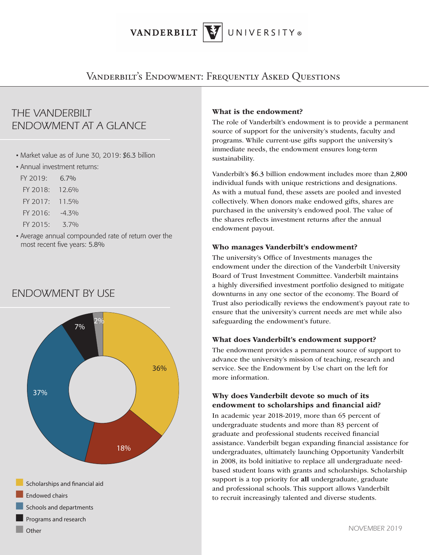VANDERBILT UNIVERSITY®

Vanderbilt's Endowment: Frequently Asked Questions

# *THE VANDERBILT ENDOWMENT AT A GLANCE*

- Market value as of June 30, 2019: \$6.3 billion
- Annual investment returns:

FY 2019: 6.7% FY 2018: 12.6% FY 2017: 11.5% FY 2016: -4.3% FY 2015: 3.7%

• Average annual compounded rate of return over the most recent five years: 5.8%

# *ENDOWMENT BY USE*

¢ Other



### What is the endowment?

The role of Vanderbilt's endowment is to provide a permanent source of support for the university's students, faculty and programs. While current-use gifts support the university's immediate needs, the endowment ensures long-term sustainability.

Vanderbilt's \$6.3 billion endowment includes more than 2,800 individual funds with unique restrictions and designations. As with a mutual fund, these assets are pooled and invested collectively. When donors make endowed gifts, shares are purchased in the university's endowed pool. The value of the shares reflects investment returns after the annual endowment payout.

### Who manages Vanderbilt's endowment?

The university's Office of Investments manages the endowment under the direction of the Vanderbilt University Board of Trust Investment Committee. Vanderbilt maintains a highly diversified investment portfolio designed to mitigate downturns in any one sector of the economy. The Board of Trust also periodically reviews the endowment's payout rate to ensure that the university's current needs are met while also safeguarding the endowment's future.

### What does Vanderbilt's endowment support?

The endowment provides a permanent source of support to advance the university's mission of teaching, research and service. See the Endowment by Use chart on the left for more information.

### Why does Vanderbilt devote so much of its endowment to scholarships and financial aid?

In academic year 2018-2019, more than 65 percent of undergraduate students and more than 83 percent of graduate and professional students received financial assistance. Vanderbilt began expanding financial assistance for undergraduates, ultimately launching Opportunity Vanderbilt in 2008, its bold initiative to replace all undergraduate needbased student loans with grants and scholarships. Scholarship support is a top priority for all undergraduate, graduate and professional schools. This support allows Vanderbilt to recruit increasingly talented and diverse students.